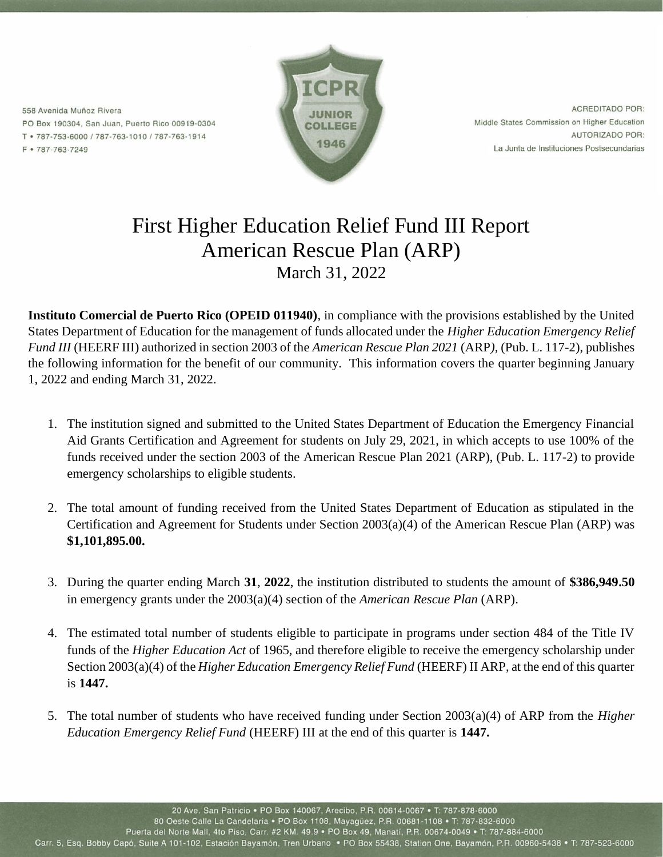558 Avenida Muñoz Rivera PO Box 190304, San Juan, Puerto Rico 00919-0304 T · 787-753-6000 / 787-763-1010 / 787-763-1914 F • 787-763-7249



**ACREDITADO POR:** Middle States Commission on Higher Education **AUTORIZADO POR:** La Junta de Instituciones Postsecundarias

## First Higher Education Relief Fund III Report American Rescue Plan (ARP) March 31, 2022

**Instituto Comercial de Puerto Rico (OPEID 011940)**, in compliance with the provisions established by the United States Department of Education for the management of funds allocated under the *Higher Education Emergency Relief Fund III* (HEERF III) authorized in section 2003 of the *American Rescue Plan 2021* (ARP*),* (Pub. L. 117-2), publishes the following information for the benefit of our community. This information covers the quarter beginning January 1, 2022 and ending March 31, 2022.

- 1. The institution signed and submitted to the United States Department of Education the Emergency Financial Aid Grants Certification and Agreement for students on July 29, 2021, in which accepts to use 100% of the funds received under the section 2003 of the American Rescue Plan 2021 (ARP), (Pub. L. 117-2) to provide emergency scholarships to eligible students.
- 2. The total amount of funding received from the United States Department of Education as stipulated in the Certification and Agreement for Students under Section 2003(a)(4) of the American Rescue Plan (ARP) was **\$1,101,895.00.**
- 3. During the quarter ending March **31**, **2022**, the institution distributed to students the amount of **\$386,949.50** in emergency grants under the 2003(a)(4) section of the *American Rescue Plan* (ARP).
- 4. The estimated total number of students eligible to participate in programs under section 484 of the Title IV funds of the *Higher Education Act* of 1965, and therefore eligible to receive the emergency scholarship under Section 2003(a)(4) of the *Higher Education Emergency Relief Fund* (HEERF) II ARP, at the end of this quarter is **1447.**
- 5. The total number of students who have received funding under Section 2003(a)(4) of ARP from the *Higher Education Emergency Relief Fund* (HEERF) III at the end of this quarter is **1447.**